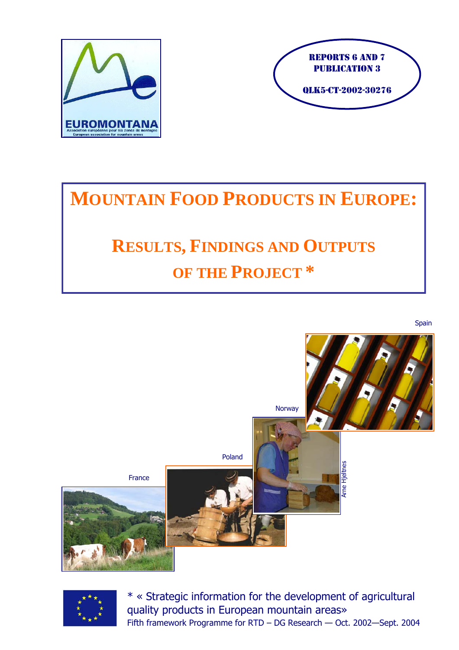



# **MOUNTAIN FOOD PRODUCTS IN EUROPE:**

# **RESULTS, FINDINGS AND OUTPUTS OF THE PROJECT \***

France<br>
1 European – Maria – November 2004<br>
1 March 2004<br>
1 March 2004<br>
1 European mountain areas»<br>
2004<br>
2003–Sept 2004<br>
2004 France Poland **Norway** Spain



\* « Strategic information for the development of agricultural quality products in European mountain areas» Fifth framework Programme for RTD – DG Research — Oct. 2002—Sept. 2004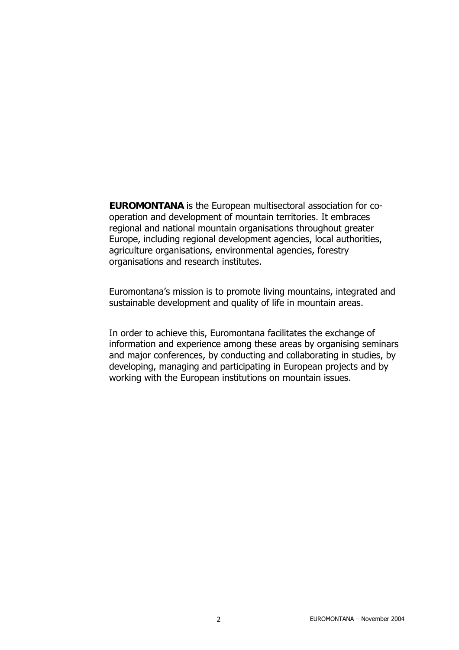**EUROMONTANA** is the European multisectoral association for cooperation and development of mountain territories. It embraces regional and national mountain organisations throughout greater Europe, including regional development agencies, local authorities, agriculture organisations, environmental agencies, forestry organisations and research institutes.

Euromontana's mission is to promote living mountains, integrated and sustainable development and quality of life in mountain areas.

In order to achieve this, Euromontana facilitates the exchange of information and experience among these areas by organising seminars and major conferences, by conducting and collaborating in studies, by developing, managing and participating in European projects and by working with the European institutions on mountain issues.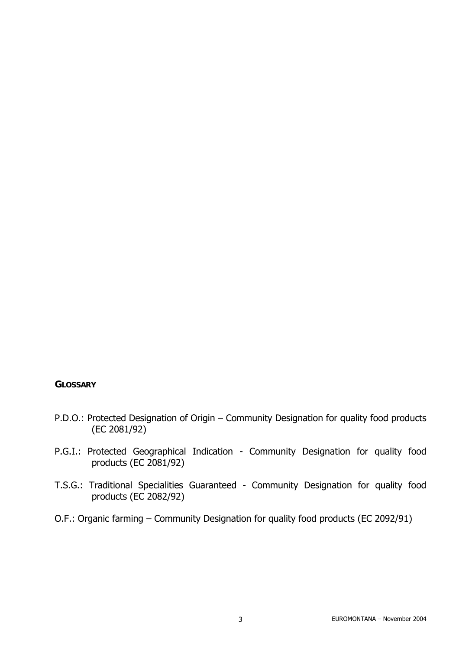#### **GLOSSARY**

- P.D.O.: Protected Designation of Origin Community Designation for quality food products (EC 2081/92)
- P.G.I.: Protected Geographical Indication Community Designation for quality food products (EC 2081/92)
- T.S.G.: Traditional Specialities Guaranteed Community Designation for quality food products (EC 2082/92)
- O.F.: Organic farming Community Designation for quality food products (EC 2092/91)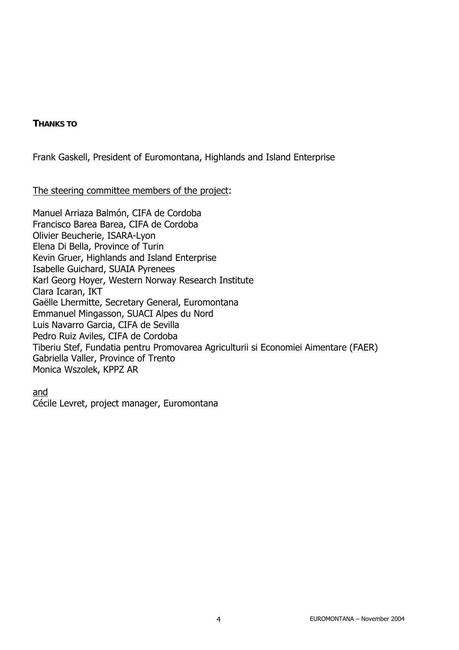#### **THANKS TO**

Frank Gaskell, President of Euromontana, Highlands and Island Enterprise

#### The steering committee members of the project:

Manuel Arriaza Balmón, CIFA de Cordoba Francisco Barea Barea, CIFA de Cordoba Olivier Beucherie, ISARA-Lyon Elena Di Bella, Province of Turin Kevin Gruer, Highlands and Island Enterprise Isabelle Guichard, SUAIA Pyrenees Karl Georg Hoyer, Western Norway Research Institute Clara Icaran, IKT Gaëlle Lhermitte, Secretary General, Euromontana Emmanuel Mingasson, SUACI Alpes du Nord Luis Navarro Garcia, CIFA de Sevilla Pedro Ruiz Aviles, CIFA de Cordoba Tiberiu Stef, Fundatia pentru Promovarea Agriculturii si Economiei Aimentare (FAER) Gabriella Valler, Province of Trento Monica Wszolek, KPPZ AR

and

Cécile Levret, project manager, Euromontana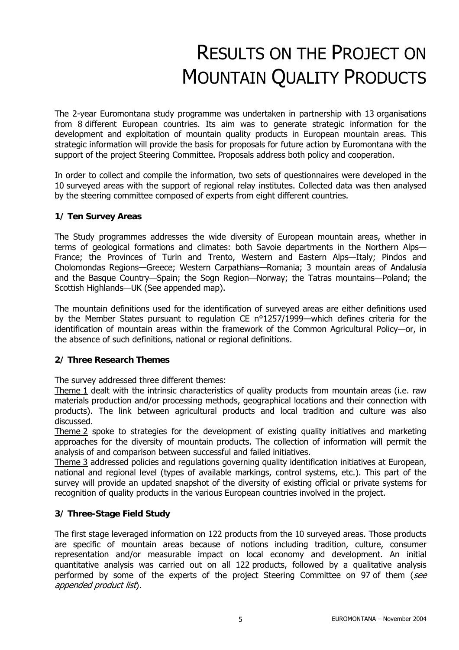# RESULTS ON THE PROJECT ON MOUNTAIN QUALITY PRODUCTS

The 2-year Euromontana study programme was undertaken in partnership with 13 organisations from 8 different European countries. Its aim was to generate strategic information for the development and exploitation of mountain quality products in European mountain areas. This strategic information will provide the basis for proposals for future action by Euromontana with the support of the project Steering Committee. Proposals address both policy and cooperation.

In order to collect and compile the information, two sets of questionnaires were developed in the 10 surveyed areas with the support of regional relay institutes. Collected data was then analysed by the steering committee composed of experts from eight different countries.

#### **1/ Ten Survey Areas**

The Study programmes addresses the wide diversity of European mountain areas, whether in terms of geological formations and climates: both Savoie departments in the Northern Alps— France; the Provinces of Turin and Trento, Western and Eastern Alps—Italy; Pindos and Cholomondas Regions—Greece; Western Carpathians—Romania; 3 mountain areas of Andalusia and the Basque Country—Spain; the Sogn Region—Norway; the Tatras mountains—Poland; the Scottish Highlands—UK (See appended map).

The mountain definitions used for the identification of surveyed areas are either definitions used by the Member States pursuant to regulation CE n°1257/1999—which defines criteria for the identification of mountain areas within the framework of the Common Agricultural Policy—or, in the absence of such definitions, national or regional definitions.

#### **2/ Three Research Themes**

The survey addressed three different themes:

Theme 1 dealt with the intrinsic characteristics of quality products from mountain areas (i.e. raw materials production and/or processing methods, geographical locations and their connection with products). The link between agricultural products and local tradition and culture was also discussed.

Theme 2 spoke to strategies for the development of existing quality initiatives and marketing approaches for the diversity of mountain products. The collection of information will permit the analysis of and comparison between successful and failed initiatives.

Theme 3 addressed policies and regulations governing quality identification initiatives at European, national and regional level (types of available markings, control systems, etc.). This part of the survey will provide an updated snapshot of the diversity of existing official or private systems for recognition of quality products in the various European countries involved in the project.

#### **3/ Three-Stage Field Study**

The first stage leveraged information on 122 products from the 10 surveyed areas. Those products are specific of mountain areas because of notions including tradition, culture, consumer representation and/or measurable impact on local economy and development. An initial quantitative analysis was carried out on all 122 products, followed by a qualitative analysis performed by some of the experts of the project Steering Committee on 97 of them (see appended product list).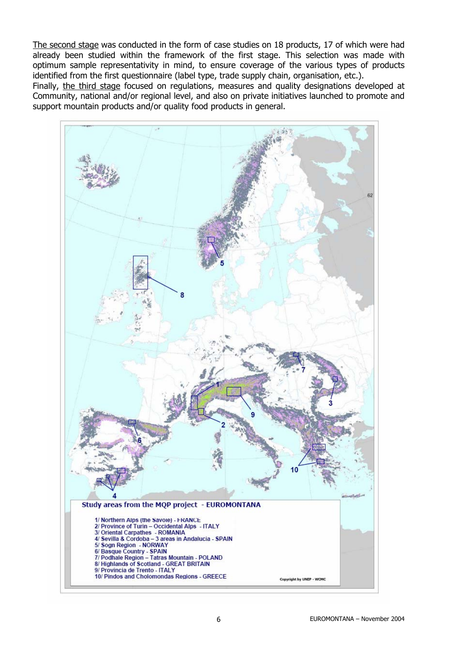The second stage was conducted in the form of case studies on 18 products, 17 of which were had already been studied within the framework of the first stage. This selection was made with optimum sample representativity in mind, to ensure coverage of the various types of products identified from the first questionnaire (label type, trade supply chain, organisation, etc.).

Finally, the third stage focused on regulations, measures and quality designations developed at Community, national and/or regional level, and also on private initiatives launched to promote and support mountain products and/or quality food products in general.

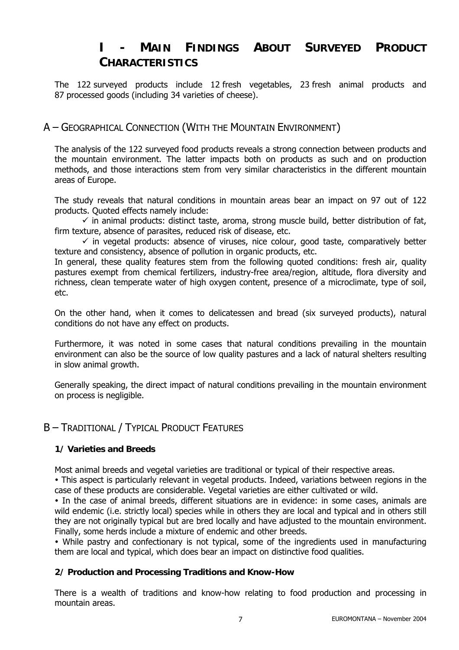## **I - MAIN FINDINGS ABOUT SURVEYED PRODUCT CHARACTERISTICS**

The 122 surveyed products include 12 fresh vegetables, 23 fresh animal products and 87 processed goods (including 34 varieties of cheese).

## A – GEOGRAPHICAL CONNECTION (WITH THE MOUNTAIN ENVIRONMENT)

The analysis of the 122 surveyed food products reveals a strong connection between products and the mountain environment. The latter impacts both on products as such and on production methods, and those interactions stem from very similar characteristics in the different mountain areas of Europe.

The study reveals that natural conditions in mountain areas bear an impact on 97 out of 122 products. Quoted effects namely include:

 $\checkmark$  in animal products: distinct taste, aroma, strong muscle build, better distribution of fat, firm texture, absence of parasites, reduced risk of disease, etc.

 $\checkmark$  in vegetal products: absence of viruses, nice colour, good taste, comparatively better texture and consistency, absence of pollution in organic products, etc.

In general, these quality features stem from the following quoted conditions: fresh air, quality pastures exempt from chemical fertilizers, industry-free area/region, altitude, flora diversity and richness, clean temperate water of high oxygen content, presence of a microclimate, type of soil, etc.

On the other hand, when it comes to delicatessen and bread (six surveyed products), natural conditions do not have any effect on products.

Furthermore, it was noted in some cases that natural conditions prevailing in the mountain environment can also be the source of low quality pastures and a lack of natural shelters resulting in slow animal growth.

Generally speaking, the direct impact of natural conditions prevailing in the mountain environment on process is negligible.

## B – TRADITIONAL / TYPICAL PRODUCT FEATURES

#### **1/ Varieties and Breeds**

Most animal breeds and vegetal varieties are traditional or typical of their respective areas.

• This aspect is particularly relevant in vegetal products. Indeed, variations between regions in the case of these products are considerable. Vegetal varieties are either cultivated or wild.

• In the case of animal breeds, different situations are in evidence: in some cases, animals are wild endemic (i.e. strictly local) species while in others they are local and typical and in others still they are not originally typical but are bred locally and have adjusted to the mountain environment. Finally, some herds include a mixture of endemic and other breeds.

• While pastry and confectionary is not typical, some of the ingredients used in manufacturing them are local and typical, which does bear an impact on distinctive food qualities.

#### **2/ Production and Processing Traditions and Know-How**

There is a wealth of traditions and know-how relating to food production and processing in mountain areas.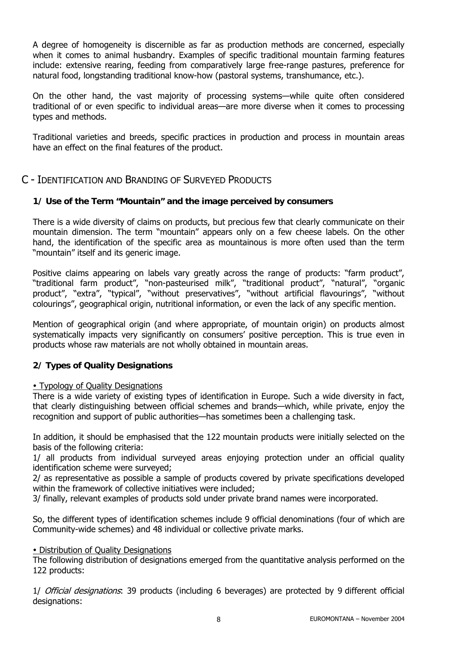A degree of homogeneity is discernible as far as production methods are concerned, especially when it comes to animal husbandry. Examples of specific traditional mountain farming features include: extensive rearing, feeding from comparatively large free-range pastures, preference for natural food, longstanding traditional know-how (pastoral systems, transhumance, etc.).

On the other hand, the vast majority of processing systems—while quite often considered traditional of or even specific to individual areas—are more diverse when it comes to processing types and methods.

Traditional varieties and breeds, specific practices in production and process in mountain areas have an effect on the final features of the product.

## C - IDENTIFICATION AND BRANDING OF SURVEYED PRODUCTS

#### **1/ Use of the Term "Mountain" and the image perceived by consumers**

There is a wide diversity of claims on products, but precious few that clearly communicate on their mountain dimension. The term "mountain" appears only on a few cheese labels. On the other hand, the identification of the specific area as mountainous is more often used than the term "mountain" itself and its generic image.

Positive claims appearing on labels vary greatly across the range of products: "farm product", "traditional farm product", "non-pasteurised milk", "traditional product", "natural", "organic product", "extra", "typical", "without preservatives", "without artificial flavourings", "without colourings", geographical origin, nutritional information, or even the lack of any specific mention.

Mention of geographical origin (and where appropriate, of mountain origin) on products almost systematically impacts very significantly on consumers' positive perception. This is true even in products whose raw materials are not wholly obtained in mountain areas.

#### **2/ Types of Quality Designations**

#### • Typology of Quality Designations

There is a wide variety of existing types of identification in Europe. Such a wide diversity in fact, that clearly distinguishing between official schemes and brands—which, while private, enjoy the recognition and support of public authorities—has sometimes been a challenging task.

In addition, it should be emphasised that the 122 mountain products were initially selected on the basis of the following criteria:

1/ all products from individual surveyed areas enjoying protection under an official quality identification scheme were surveyed;

2/ as representative as possible a sample of products covered by private specifications developed within the framework of collective initiatives were included;

3/ finally, relevant examples of products sold under private brand names were incorporated.

So, the different types of identification schemes include 9 official denominations (four of which are Community-wide schemes) and 48 individual or collective private marks.

#### • Distribution of Quality Designations

The following distribution of designations emerged from the quantitative analysis performed on the 122 products:

1/ Official designations: 39 products (including 6 beverages) are protected by 9 different official designations: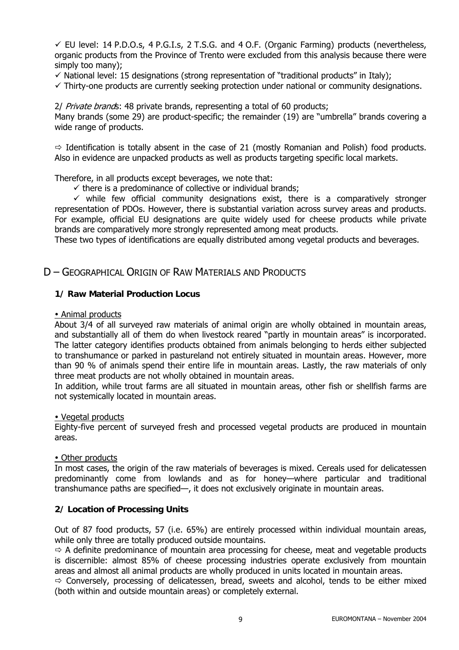$\checkmark$  EU level: 14 P.D.O.s, 4 P.G.I.s, 2 T.S.G. and 4 O.F. (Organic Farming) products (nevertheless, organic products from the Province of Trento were excluded from this analysis because there were simply too many);

 $\checkmark$  National level: 15 designations (strong representation of "traditional products" in Italy);

 $\checkmark$  Thirty-one products are currently seeking protection under national or community designations.

2/ Private brands: 48 private brands, representing a total of 60 products;

Many brands (some 29) are product-specific; the remainder (19) are "umbrella" brands covering a wide range of products.

 $\Rightarrow$  Identification is totally absent in the case of 21 (mostly Romanian and Polish) food products. Also in evidence are unpacked products as well as products targeting specific local markets.

Therefore, in all products except beverages, we note that:

 $\checkmark$  there is a predominance of collective or individual brands;

 $\checkmark$  while few official community designations exist, there is a comparatively stronger representation of PDOs. However, there is substantial variation across survey areas and products. For example, official EU designations are quite widely used for cheese products while private brands are comparatively more strongly represented among meat products.

These two types of identifications are equally distributed among vegetal products and beverages.

#### D – GEOGRAPHICAL ORIGIN OF RAW MATERIALS AND PRODUCTS

#### **1/ Raw Material Production Locus**

#### • Animal products

About 3/4 of all surveyed raw materials of animal origin are wholly obtained in mountain areas, and substantially all of them do when livestock reared "partly in mountain areas" is incorporated. The latter category identifies products obtained from animals belonging to herds either subjected to transhumance or parked in pastureland not entirely situated in mountain areas. However, more than 90 % of animals spend their entire life in mountain areas. Lastly, the raw materials of only three meat products are not wholly obtained in mountain areas.

In addition, while trout farms are all situated in mountain areas, other fish or shellfish farms are not systemically located in mountain areas.

#### • Vegetal products

Eighty-five percent of surveyed fresh and processed vegetal products are produced in mountain areas.

#### • Other products

In most cases, the origin of the raw materials of beverages is mixed. Cereals used for delicatessen predominantly come from lowlands and as for honey—where particular and traditional transhumance paths are specified—, it does not exclusively originate in mountain areas.

#### **2/ Location of Processing Units**

Out of 87 food products, 57 (i.e. 65%) are entirely processed within individual mountain areas, while only three are totally produced outside mountains.

 $\Rightarrow$  A definite predominance of mountain area processing for cheese, meat and vegetable products is discernible: almost 85% of cheese processing industries operate exclusively from mountain areas and almost all animal products are wholly produced in units located in mountain areas.

 $\Rightarrow$  Conversely, processing of delicatessen, bread, sweets and alcohol, tends to be either mixed (both within and outside mountain areas) or completely external.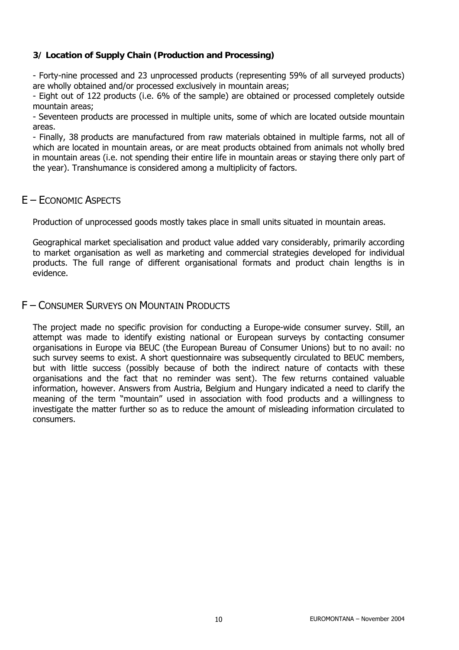#### **3/ Location of Supply Chain (Production and Processing)**

- Forty-nine processed and 23 unprocessed products (representing 59% of all surveyed products) are wholly obtained and/or processed exclusively in mountain areas;

- Eight out of 122 products (i.e. 6% of the sample) are obtained or processed completely outside mountain areas;

- Seventeen products are processed in multiple units, some of which are located outside mountain areas.

- Finally, 38 products are manufactured from raw materials obtained in multiple farms, not all of which are located in mountain areas, or are meat products obtained from animals not wholly bred in mountain areas (i.e. not spending their entire life in mountain areas or staying there only part of the year). Transhumance is considered among a multiplicity of factors.

## E – ECONOMIC ASPECTS

Production of unprocessed goods mostly takes place in small units situated in mountain areas.

Geographical market specialisation and product value added vary considerably, primarily according to market organisation as well as marketing and commercial strategies developed for individual products. The full range of different organisational formats and product chain lengths is in evidence.

#### F – CONSUMER SURVEYS ON MOUNTAIN PRODUCTS

The project made no specific provision for conducting a Europe-wide consumer survey. Still, an attempt was made to identify existing national or European surveys by contacting consumer organisations in Europe via BEUC (the European Bureau of Consumer Unions) but to no avail: no such survey seems to exist. A short questionnaire was subsequently circulated to BEUC members, but with little success (possibly because of both the indirect nature of contacts with these organisations and the fact that no reminder was sent). The few returns contained valuable information, however. Answers from Austria, Belgium and Hungary indicated a need to clarify the meaning of the term "mountain" used in association with food products and a willingness to investigate the matter further so as to reduce the amount of misleading information circulated to consumers.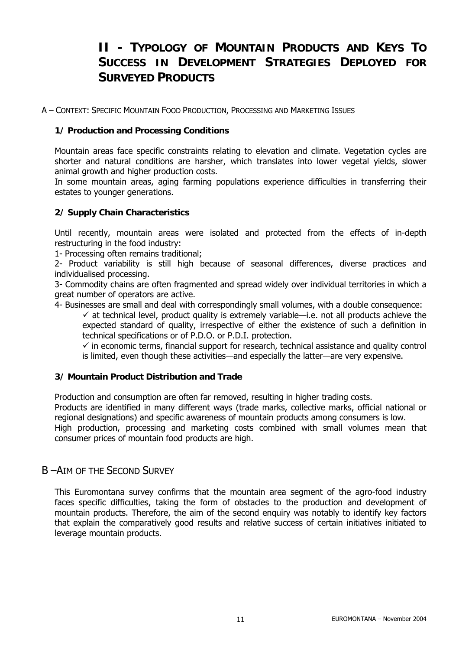## **II - TYPOLOGY OF MOUNTAIN PRODUCTS AND KEYS TO SUCCESS IN DEVELOPMENT STRATEGIES DEPLOYED FOR SURVEYED PRODUCTS**

A – CONTEXT: SPECIFIC MOUNTAIN FOOD PRODUCTION, PROCESSING AND MARKETING ISSUES

#### **1/ Production and Processing Conditions**

Mountain areas face specific constraints relating to elevation and climate. Vegetation cycles are shorter and natural conditions are harsher, which translates into lower vegetal yields, slower animal growth and higher production costs.

In some mountain areas, aging farming populations experience difficulties in transferring their estates to younger generations.

#### **2/ Supply Chain Characteristics**

Until recently, mountain areas were isolated and protected from the effects of in-depth restructuring in the food industry:

1- Processing often remains traditional;

2- Product variability is still high because of seasonal differences, diverse practices and individualised processing.

3- Commodity chains are often fragmented and spread widely over individual territories in which a great number of operators are active.

4- Businesses are small and deal with correspondingly small volumes, with a double consequence:

 $\checkmark$  at technical level, product quality is extremely variable—i.e. not all products achieve the expected standard of quality, irrespective of either the existence of such a definition in technical specifications or of P.D.O. or P.D.I. protection.

 $\checkmark$  in economic terms, financial support for research, technical assistance and quality control is limited, even though these activities—and especially the latter—are very expensive.

#### **3/ Mountain Product Distribution and Trade**

Production and consumption are often far removed, resulting in higher trading costs.

Products are identified in many different ways (trade marks, collective marks, official national or regional designations) and specific awareness of mountain products among consumers is low.

High production, processing and marketing costs combined with small volumes mean that consumer prices of mountain food products are high.

## B –AIM OF THE SECOND SURVEY

This Euromontana survey confirms that the mountain area segment of the agro-food industry faces specific difficulties, taking the form of obstacles to the production and development of mountain products. Therefore, the aim of the second enquiry was notably to identify key factors that explain the comparatively good results and relative success of certain initiatives initiated to leverage mountain products.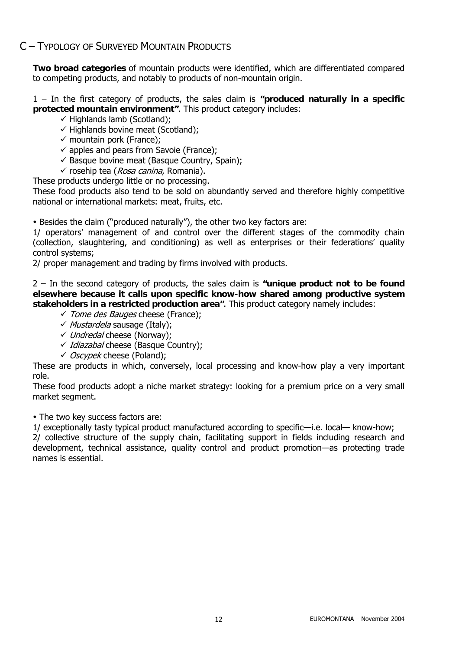## C – TYPOLOGY OF SURVEYED MOUNTAIN PRODUCTS

**Two broad categories** of mountain products were identified, which are differentiated compared to competing products, and notably to products of non-mountain origin.

1 – In the first category of products, the sales claim is **"produced naturally in a specific protected mountain environment"**. This product category includes:

- $\checkmark$  Highlands lamb (Scotland);
- $\checkmark$  Highlands bovine meat (Scotland);
- $\checkmark$  mountain pork (France);
- $\checkmark$  apples and pears from Savoie (France);
- $\checkmark$  Basque bovine meat (Basque Country, Spain);
- $\checkmark$  rosehip tea (*Rosa canina*, Romania).

These products undergo little or no processing.

These food products also tend to be sold on abundantly served and therefore highly competitive national or international markets: meat, fruits, etc.

• Besides the claim ("produced naturally"), the other two key factors are:

1/ operators' management of and control over the different stages of the commodity chain (collection, slaughtering, and conditioning) as well as enterprises or their federations' quality control systems;

2/ proper management and trading by firms involved with products.

2 – In the second category of products, the sales claim is **"unique product not to be found elsewhere because it calls upon specific know-how shared among productive system stakeholders in a restricted production area"**. This product category namely includes:

- *√ Tome des Bauges* cheese (France);
- $\checkmark$  Mustardela sausage (Italy);
- √ Undredal cheese (Norway);
- ✓ Idiazabal cheese (Basque Country);
- ◆ *Oscypek* cheese (Poland);

These are products in which, conversely, local processing and know-how play a very important role.

These food products adopt a niche market strategy: looking for a premium price on a very small market segment.

• The two key success factors are:

1/ exceptionally tasty typical product manufactured according to specific—i.e. local— know-how; 2/ collective structure of the supply chain, facilitating support in fields including research and

development, technical assistance, quality control and product promotion—as protecting trade names is essential.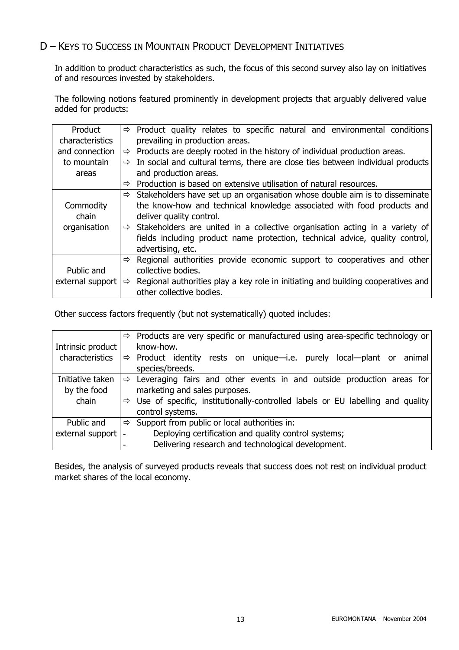## D – KEYS TO SUCCESS IN MOUNTAIN PRODUCT DEVELOPMENT INITIATIVES

In addition to product characteristics as such, the focus of this second survey also lay on initiatives of and resources invested by stakeholders.

The following notions featured prominently in development projects that arguably delivered value added for products:

| Product          |                    | $\Rightarrow$ Product quality relates to specific natural and environmental conditions    |  |  |  |  |
|------------------|--------------------|-------------------------------------------------------------------------------------------|--|--|--|--|
| characteristics  |                    | prevailing in production areas.                                                           |  |  |  |  |
| and connection   | ⇨                  | Products are deeply rooted in the history of individual production areas.                 |  |  |  |  |
| to mountain      | $\Rightarrow$      | In social and cultural terms, there are close ties between individual products            |  |  |  |  |
| areas            |                    | and production areas.                                                                     |  |  |  |  |
|                  | ⇨                  | Production is based on extensive utilisation of natural resources.                        |  |  |  |  |
|                  |                    | $\Rightarrow$ Stakeholders have set up an organisation whose double aim is to disseminate |  |  |  |  |
| Commodity        |                    | the know-how and technical knowledge associated with food products and                    |  |  |  |  |
| chain            |                    | deliver quality control.                                                                  |  |  |  |  |
| organisation     |                    | $\Rightarrow$ Stakeholders are united in a collective organisation acting in a variety of |  |  |  |  |
|                  |                    | fields including product name protection, technical advice, quality control,              |  |  |  |  |
|                  |                    | advertising, etc.                                                                         |  |  |  |  |
|                  | ⇨                  | Regional authorities provide economic support to cooperatives and other                   |  |  |  |  |
| Public and       | collective bodies. |                                                                                           |  |  |  |  |
| external support | ⇨                  | Regional authorities play a key role in initiating and building cooperatives and          |  |  |  |  |
|                  |                    | other collective bodies.                                                                  |  |  |  |  |

Other success factors frequently (but not systematically) quoted includes:

|                   |   | $\Rightarrow$ Products are very specific or manufactured using area-specific technology or |  |  |
|-------------------|---|--------------------------------------------------------------------------------------------|--|--|
| Intrinsic product |   | know-how.                                                                                  |  |  |
| characteristics   |   | $\Rightarrow$ Product identity rests on unique-i.e. purely local-plant or animal           |  |  |
|                   |   | species/breeds.                                                                            |  |  |
| Initiative taken  |   | $\Rightarrow$ Leveraging fairs and other events in and outside production areas for        |  |  |
| by the food       |   | marketing and sales purposes.                                                              |  |  |
| chain             | ⇨ | Use of specific, institutionally-controlled labels or EU labelling and quality             |  |  |
|                   |   | control systems.                                                                           |  |  |
| Public and        | ⇨ | Support from public or local authorities in:                                               |  |  |
| external support  |   | Deploying certification and quality control systems;                                       |  |  |
|                   |   | Delivering research and technological development.                                         |  |  |

Besides, the analysis of surveyed products reveals that success does not rest on individual product market shares of the local economy.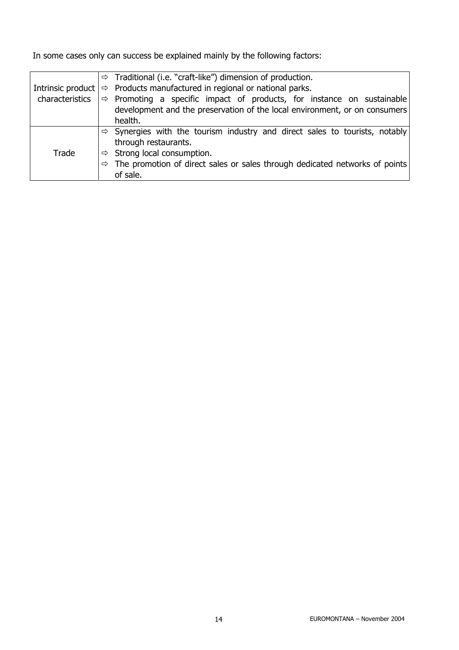In some cases only can success be explained mainly by the following factors:

|                                                                            | $\Rightarrow$ Traditional (i.e. "craft-like") dimension of production.                    |                                                                                         |  |  |  |
|----------------------------------------------------------------------------|-------------------------------------------------------------------------------------------|-----------------------------------------------------------------------------------------|--|--|--|
|                                                                            | $\Rightarrow$ Products manufactured in regional or national parks.<br>Intrinsic product   |                                                                                         |  |  |  |
| characteristics                                                            | $\Rightarrow$ Promoting a specific impact of products, for instance on sustainable        |                                                                                         |  |  |  |
| development and the preservation of the local environment, or on consumers |                                                                                           |                                                                                         |  |  |  |
|                                                                            | health.                                                                                   |                                                                                         |  |  |  |
|                                                                            |                                                                                           | $\Rightarrow$ Synergies with the tourism industry and direct sales to tourists, notably |  |  |  |
| through restaurants.                                                       |                                                                                           |                                                                                         |  |  |  |
| Trade                                                                      |                                                                                           | $\Rightarrow$ Strong local consumption.                                                 |  |  |  |
|                                                                            | $\Rightarrow$ The promotion of direct sales or sales through dedicated networks of points |                                                                                         |  |  |  |
| of sale.                                                                   |                                                                                           |                                                                                         |  |  |  |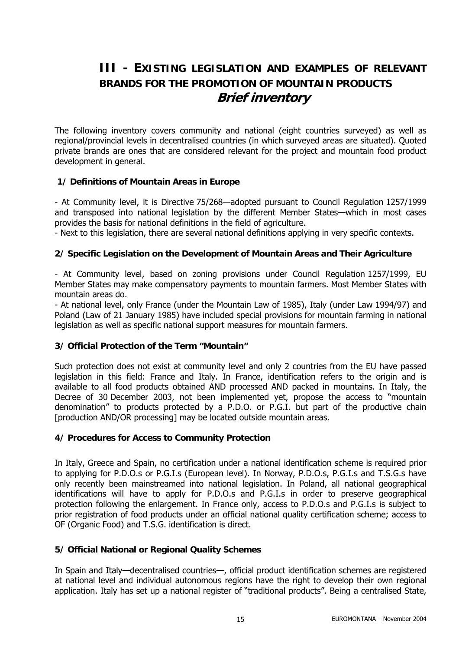## **III - EXISTING LEGISLATION AND EXAMPLES OF RELEVANT BRANDS FOR THE PROMOTION OF MOUNTAIN PRODUCTS Brief inventory**

The following inventory covers community and national (eight countries surveyed) as well as regional/provincial levels in decentralised countries (in which surveyed areas are situated). Quoted private brands are ones that are considered relevant for the project and mountain food product development in general.

#### **1/ Definitions of Mountain Areas in Europe**

- At Community level, it is Directive 75/268—adopted pursuant to Council Regulation 1257/1999 and transposed into national legislation by the different Member States—which in most cases provides the basis for national definitions in the field of agriculture.

- Next to this legislation, there are several national definitions applying in very specific contexts.

#### **2/ Specific Legislation on the Development of Mountain Areas and Their Agriculture**

- At Community level, based on zoning provisions under Council Regulation 1257/1999, EU Member States may make compensatory payments to mountain farmers. Most Member States with mountain areas do.

- At national level, only France (under the Mountain Law of 1985), Italy (under Law 1994/97) and Poland (Law of 21 January 1985) have included special provisions for mountain farming in national legislation as well as specific national support measures for mountain farmers.

#### **3/ Official Protection of the Term "Mountain"**

Such protection does not exist at community level and only 2 countries from the EU have passed legislation in this field: France and Italy. In France, identification refers to the origin and is available to all food products obtained AND processed AND packed in mountains. In Italy, the Decree of 30 December 2003, not been implemented yet, propose the access to "mountain denomination" to products protected by a P.D.O. or P.G.I. but part of the productive chain [production AND/OR processing] may be located outside mountain areas.

#### **4/ Procedures for Access to Community Protection**

In Italy, Greece and Spain, no certification under a national identification scheme is required prior to applying for P.D.O.s or P.G.I.s (European level). In Norway, P.D.O.s, P.G.I.s and T.S.G.s have only recently been mainstreamed into national legislation. In Poland, all national geographical identifications will have to apply for P.D.O.s and P.G.I.s in order to preserve geographical protection following the enlargement. In France only, access to P.D.O.s and P.G.I.s is subject to prior registration of food products under an official national quality certification scheme; access to OF (Organic Food) and T.S.G. identification is direct.

#### **5/ Official National or Regional Quality Schemes**

In Spain and Italy—decentralised countries—, official product identification schemes are registered at national level and individual autonomous regions have the right to develop their own regional application. Italy has set up a national register of "traditional products". Being a centralised State,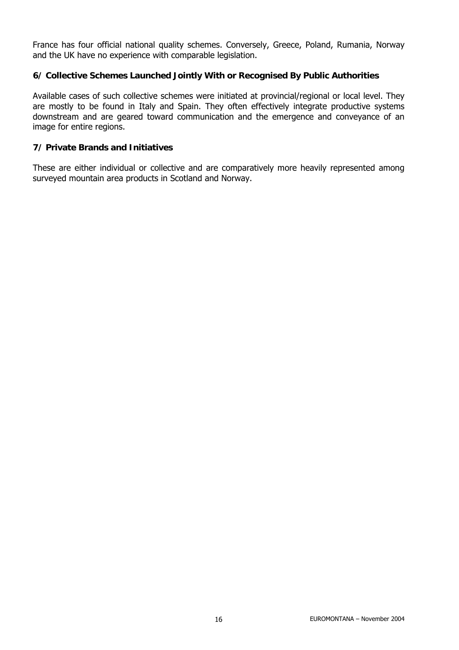France has four official national quality schemes. Conversely, Greece, Poland, Rumania, Norway and the UK have no experience with comparable legislation.

#### **6/ Collective Schemes Launched Jointly With or Recognised By Public Authorities**

Available cases of such collective schemes were initiated at provincial/regional or local level. They are mostly to be found in Italy and Spain. They often effectively integrate productive systems downstream and are geared toward communication and the emergence and conveyance of an image for entire regions.

#### **7/ Private Brands and Initiatives**

These are either individual or collective and are comparatively more heavily represented among surveyed mountain area products in Scotland and Norway.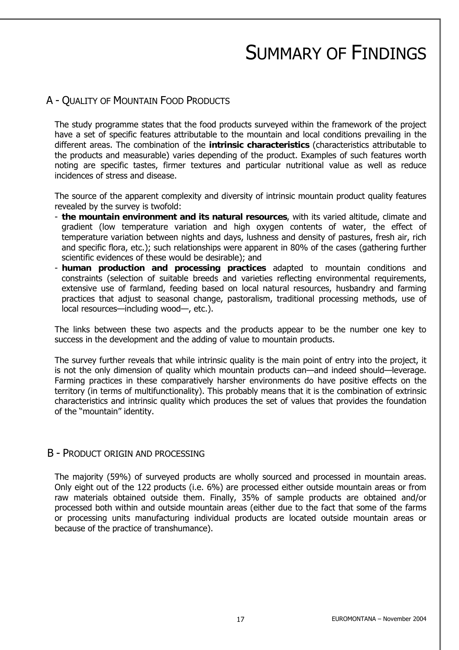## SUMMARY OF FINDINGS

## A - QUALITY OF MOUNTAIN FOOD PRODUCTS

The study programme states that the food products surveyed within the framework of the project have a set of specific features attributable to the mountain and local conditions prevailing in the different areas. The combination of the **intrinsic characteristics** (characteristics attributable to the products and measurable) varies depending of the product. Examples of such features worth noting are specific tastes, firmer textures and particular nutritional value as well as reduce incidences of stress and disease.

The source of the apparent complexity and diversity of intrinsic mountain product quality features revealed by the survey is twofold:

- **the mountain environment and its natural resources**, with its varied altitude, climate and gradient (low temperature variation and high oxygen contents of water, the effect of temperature variation between nights and days, lushness and density of pastures, fresh air, rich and specific flora, etc.); such relationships were apparent in 80% of the cases (gathering further scientific evidences of these would be desirable); and
- **human production and processing practices** adapted to mountain conditions and constraints (selection of suitable breeds and varieties reflecting environmental requirements, extensive use of farmland, feeding based on local natural resources, husbandry and farming practices that adjust to seasonal change, pastoralism, traditional processing methods, use of local resources—including wood—, etc.).

The links between these two aspects and the products appear to be the number one key to success in the development and the adding of value to mountain products.

The survey further reveals that while intrinsic quality is the main point of entry into the project, it is not the only dimension of quality which mountain products can—and indeed should—leverage. Farming practices in these comparatively harsher environments do have positive effects on the territory (in terms of multifunctionality). This probably means that it is the combination of extrinsic characteristics and intrinsic quality which produces the set of values that provides the foundation of the "mountain" identity.

#### B - PRODUCT ORIGIN AND PROCESSING

The majority (59%) of surveyed products are wholly sourced and processed in mountain areas. Only eight out of the 122 products (i.e. 6%) are processed either outside mountain areas or from raw materials obtained outside them. Finally, 35% of sample products are obtained and/or processed both within and outside mountain areas (either due to the fact that some of the farms or processing units manufacturing individual products are located outside mountain areas or because of the practice of transhumance).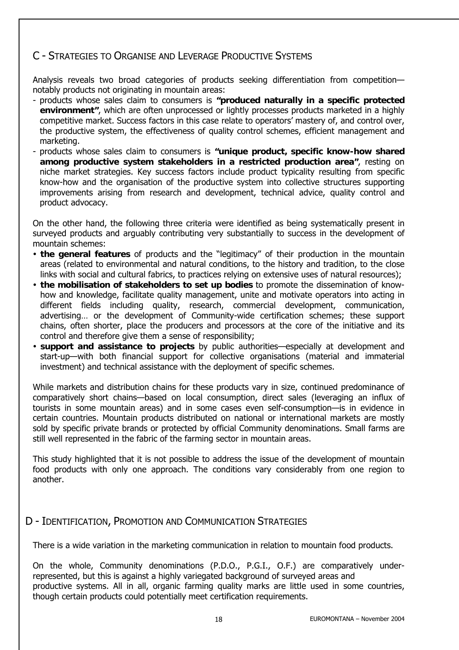## C - STRATEGIES TO ORGANISE AND LEVERAGE PRODUCTIVE SYSTEMS

Analysis reveals two broad categories of products seeking differentiation from competition notably products not originating in mountain areas:

- products whose sales claim to consumers is **"produced naturally in a specific protected environment"**, which are often unprocessed or lightly processes products marketed in a highly competitive market. Success factors in this case relate to operators' mastery of, and control over, the productive system, the effectiveness of quality control schemes, efficient management and marketing.
- products whose sales claim to consumers is **"unique product, specific know-how shared among productive system stakeholders in a restricted production area"**, resting on niche market strategies. Key success factors include product typicality resulting from specific know-how and the organisation of the productive system into collective structures supporting improvements arising from research and development, technical advice, quality control and product advocacy.

On the other hand, the following three criteria were identified as being systematically present in surveyed products and arguably contributing very substantially to success in the development of mountain schemes:

- y **the general features** of products and the "legitimacy" of their production in the mountain areas (related to environmental and natural conditions, to the history and tradition, to the close links with social and cultural fabrics, to practices relying on extensive uses of natural resources);
- y **the mobilisation of stakeholders to set up bodies** to promote the dissemination of knowhow and knowledge, facilitate quality management, unite and motivate operators into acting in different fields including quality, research, commercial development, communication, advertising… or the development of Community-wide certification schemes; these support chains, often shorter, place the producers and processors at the core of the initiative and its control and therefore give them a sense of responsibility;
- y **support and assistance to projects** by public authorities—especially at development and start-up—with both financial support for collective organisations (material and immaterial investment) and technical assistance with the deployment of specific schemes.

While markets and distribution chains for these products vary in size, continued predominance of comparatively short chains—based on local consumption, direct sales (leveraging an influx of tourists in some mountain areas) and in some cases even self-consumption—is in evidence in certain countries. Mountain products distributed on national or international markets are mostly sold by specific private brands or protected by official Community denominations. Small farms are still well represented in the fabric of the farming sector in mountain areas.

This study highlighted that it is not possible to address the issue of the development of mountain food products with only one approach. The conditions vary considerably from one region to another.

## D - IDENTIFICATION, PROMOTION AND COMMUNICATION STRATEGIES

There is a wide variation in the marketing communication in relation to mountain food products.

On the whole, Community denominations (P.D.O., P.G.I., O.F.) are comparatively underrepresented, but this is against a highly variegated background of surveyed areas and productive systems. All in all, organic farming quality marks are little used in some countries, though certain products could potentially meet certification requirements.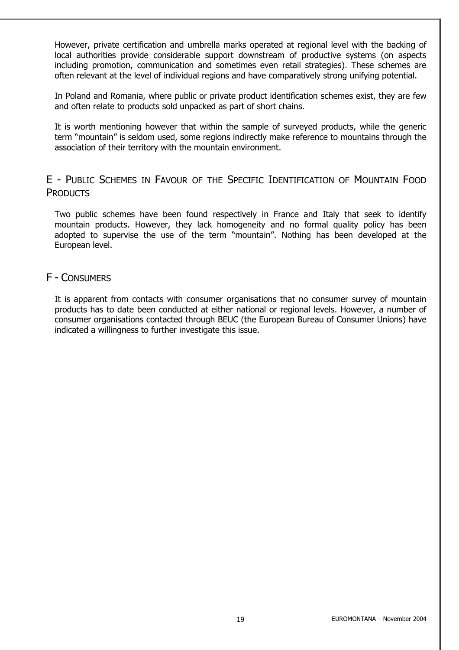However, private certification and umbrella marks operated at regional level with the backing of local authorities provide considerable support downstream of productive systems (on aspects including promotion, communication and sometimes even retail strategies). These schemes are often relevant at the level of individual regions and have comparatively strong unifying potential.

In Poland and Romania, where public or private product identification schemes exist, they are few and often relate to products sold unpacked as part of short chains.

It is worth mentioning however that within the sample of surveyed products, while the generic term "mountain" is seldom used, some regions indirectly make reference to mountains through the association of their territory with the mountain environment.

## E - PUBLIC SCHEMES IN FAVOUR OF THE SPECIFIC IDENTIFICATION OF MOUNTAIN FOOD **PRODUCTS**

Two public schemes have been found respectively in France and Italy that seek to identify mountain products. However, they lack homogeneity and no formal quality policy has been adopted to supervise the use of the term "mountain". Nothing has been developed at the European level.

## F - CONSUMERS

It is apparent from contacts with consumer organisations that no consumer survey of mountain products has to date been conducted at either national or regional levels. However, a number of consumer organisations contacted through BEUC (the European Bureau of Consumer Unions) have indicated a willingness to further investigate this issue.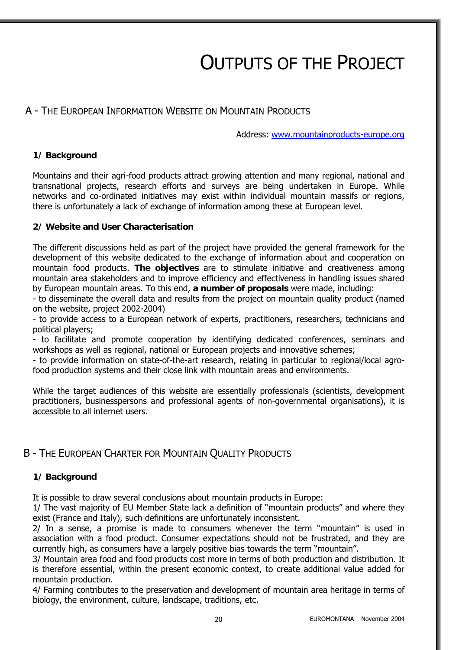# OUTPUTS OF THE PROJECT

## A - THE EUROPEAN INFORMATION WEBSITE ON MOUNTAIN PRODUCTS

Address: www.mountainproducts-europe.org

#### **1/ Background**

Mountains and their agri-food products attract growing attention and many regional, national and transnational projects, research efforts and surveys are being undertaken in Europe. While networks and co-ordinated initiatives may exist within individual mountain massifs or regions, there is unfortunately a lack of exchange of information among these at European level.

#### **2/ Website and User Characterisation**

The different discussions held as part of the project have provided the general framework for the development of this website dedicated to the exchange of information about and cooperation on mountain food products. **The objectives** are to stimulate initiative and creativeness among mountain area stakeholders and to improve efficiency and effectiveness in handling issues shared by European mountain areas. To this end, **a number of proposals** were made, including:

- to disseminate the overall data and results from the project on mountain quality product (named on the website, project 2002-2004)

- to provide access to a European network of experts, practitioners, researchers, technicians and political players;

- to facilitate and promote cooperation by identifying dedicated conferences, seminars and workshops as well as regional, national or European projects and innovative schemes;

- to provide information on state-of-the-art research, relating in particular to regional/local agrofood production systems and their close link with mountain areas and environments.

While the target audiences of this website are essentially professionals (scientists, development practitioners, businesspersons and professional agents of non-governmental organisations), it is accessible to all internet users.

## B - THE EUROPEAN CHARTER FOR MOUNTAIN QUALITY PRODUCTS

#### **1/ Background**

It is possible to draw several conclusions about mountain products in Europe:

1/ The vast majority of EU Member State lack a definition of "mountain products" and where they exist (France and Italy), such definitions are unfortunately inconsistent.

2/ In a sense, a promise is made to consumers whenever the term "mountain" is used in association with a food product. Consumer expectations should not be frustrated, and they are currently high, as consumers have a largely positive bias towards the term "mountain".

3/ Mountain area food and food products cost more in terms of both production and distribution. It is therefore essential, within the present economic context, to create additional value added for mountain production.

4/ Farming contributes to the preservation and development of mountain area heritage in terms of biology, the environment, culture, landscape, traditions, etc.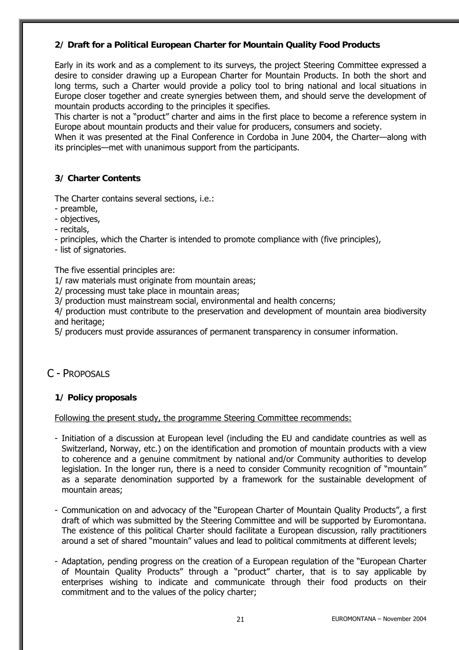#### **2/ Draft for a Political European Charter for Mountain Quality Food Products**

Early in its work and as a complement to its surveys, the project Steering Committee expressed a desire to consider drawing up a European Charter for Mountain Products. In both the short and long terms, such a Charter would provide a policy tool to bring national and local situations in Europe closer together and create synergies between them, and should serve the development of mountain products according to the principles it specifies.

This charter is not a "product" charter and aims in the first place to become a reference system in Europe about mountain products and their value for producers, consumers and society.

When it was presented at the Final Conference in Cordoba in June 2004, the Charter—along with its principles—met with unanimous support from the participants.

#### **3/ Charter Contents**

The Charter contains several sections, i.e.:

- preamble,
- objectives,
- recitals,
- principles, which the Charter is intended to promote compliance with (five principles),
- list of signatories.

The five essential principles are:

1/ raw materials must originate from mountain areas;

2/ processing must take place in mountain areas;

3/ production must mainstream social, environmental and health concerns;

4/ production must contribute to the preservation and development of mountain area biodiversity and heritage;

5/ producers must provide assurances of permanent transparency in consumer information.

## C - PROPOSALS

#### **1/ Policy proposals**

Following the present study, the programme Steering Committee recommends:

- Initiation of a discussion at European level (including the EU and candidate countries as well as Switzerland, Norway, etc.) on the identification and promotion of mountain products with a view to coherence and a genuine commitment by national and/or Community authorities to develop legislation. In the longer run, there is a need to consider Community recognition of "mountain" as a separate denomination supported by a framework for the sustainable development of mountain areas;
- Communication on and advocacy of the "European Charter of Mountain Quality Products", a first draft of which was submitted by the Steering Committee and will be supported by Euromontana. The existence of this political Charter should facilitate a European discussion, rally practitioners around a set of shared "mountain" values and lead to political commitments at different levels;
- Adaptation, pending progress on the creation of a European regulation of the "European Charter of Mountain Quality Products" through a "product" charter, that is to say applicable by enterprises wishing to indicate and communicate through their food products on their commitment and to the values of the policy charter;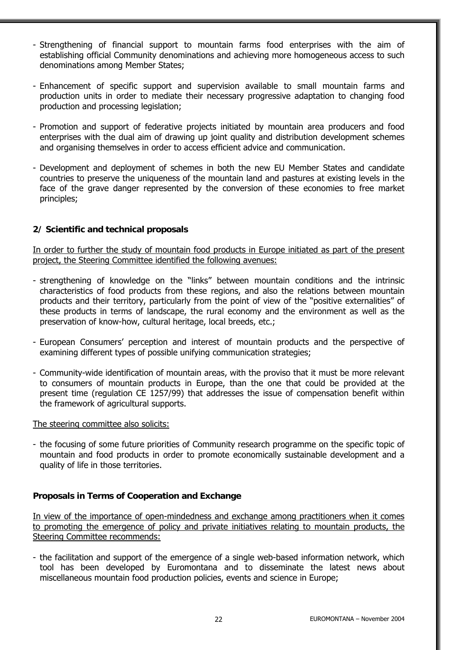- Strengthening of financial support to mountain farms food enterprises with the aim of establishing official Community denominations and achieving more homogeneous access to such denominations among Member States;
- Enhancement of specific support and supervision available to small mountain farms and production units in order to mediate their necessary progressive adaptation to changing food production and processing legislation;
- Promotion and support of federative projects initiated by mountain area producers and food enterprises with the dual aim of drawing up joint quality and distribution development schemes and organising themselves in order to access efficient advice and communication.
- Development and deployment of schemes in both the new EU Member States and candidate countries to preserve the uniqueness of the mountain land and pastures at existing levels in the face of the grave danger represented by the conversion of these economies to free market principles;

#### **2/ Scientific and technical proposals**

In order to further the study of mountain food products in Europe initiated as part of the present project, the Steering Committee identified the following avenues:

- strengthening of knowledge on the "links" between mountain conditions and the intrinsic characteristics of food products from these regions, and also the relations between mountain products and their territory, particularly from the point of view of the "positive externalities" of these products in terms of landscape, the rural economy and the environment as well as the preservation of know-how, cultural heritage, local breeds, etc.;
- European Consumers' perception and interest of mountain products and the perspective of examining different types of possible unifying communication strategies;
- Community-wide identification of mountain areas, with the proviso that it must be more relevant to consumers of mountain products in Europe, than the one that could be provided at the present time (regulation CE 1257/99) that addresses the issue of compensation benefit within the framework of agricultural supports.

#### The steering committee also solicits:

- the focusing of some future priorities of Community research programme on the specific topic of mountain and food products in order to promote economically sustainable development and a quality of life in those territories.

#### **Proposals in Terms of Cooperation and Exchange**

In view of the importance of open-mindedness and exchange among practitioners when it comes to promoting the emergence of policy and private initiatives relating to mountain products, the Steering Committee recommends:

- the facilitation and support of the emergence of a single web-based information network, which tool has been developed by Euromontana and to disseminate the latest news about miscellaneous mountain food production policies, events and science in Europe;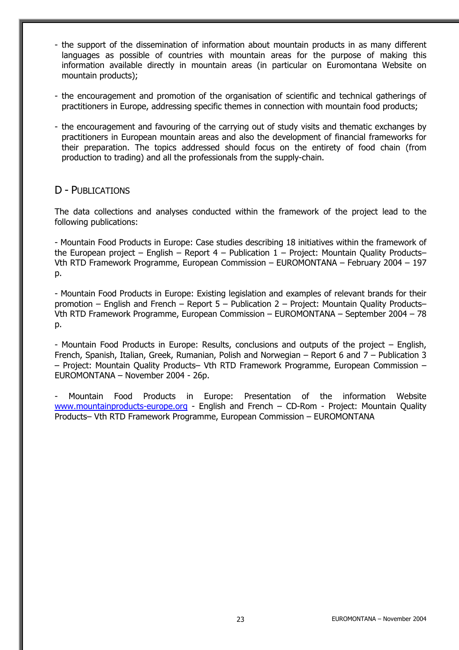- the support of the dissemination of information about mountain products in as many different languages as possible of countries with mountain areas for the purpose of making this information available directly in mountain areas (in particular on Euromontana Website on mountain products);
- the encouragement and promotion of the organisation of scientific and technical gatherings of practitioners in Europe, addressing specific themes in connection with mountain food products;
- the encouragement and favouring of the carrying out of study visits and thematic exchanges by practitioners in European mountain areas and also the development of financial frameworks for their preparation. The topics addressed should focus on the entirety of food chain (from production to trading) and all the professionals from the supply-chain.

## D - PUBLICATIONS

The data collections and analyses conducted within the framework of the project lead to the following publications:

- Mountain Food Products in Europe: Case studies describing 18 initiatives within the framework of the European project – English – Report  $4$  – Publication  $1$  – Project: Mountain Quality Products– Vth RTD Framework Programme, European Commission – EUROMONTANA – February 2004 – 197 p.

- Mountain Food Products in Europe: Existing legislation and examples of relevant brands for their promotion – English and French – Report 5 – Publication 2 – Project: Mountain Quality Products– Vth RTD Framework Programme, European Commission – EUROMONTANA – September 2004 – 78 p.

- Mountain Food Products in Europe: Results, conclusions and outputs of the project – English, French, Spanish, Italian, Greek, Rumanian, Polish and Norwegian – Report 6 and 7 – Publication 3 – Project: Mountain Quality Products– Vth RTD Framework Programme, European Commission – EUROMONTANA – November 2004 - 26p.

- Mountain Food Products in Europe: Presentation of the information Website www.mountainproducts-europe.org - English and French - CD-Rom - Project: Mountain Quality Products– Vth RTD Framework Programme, European Commission – EUROMONTANA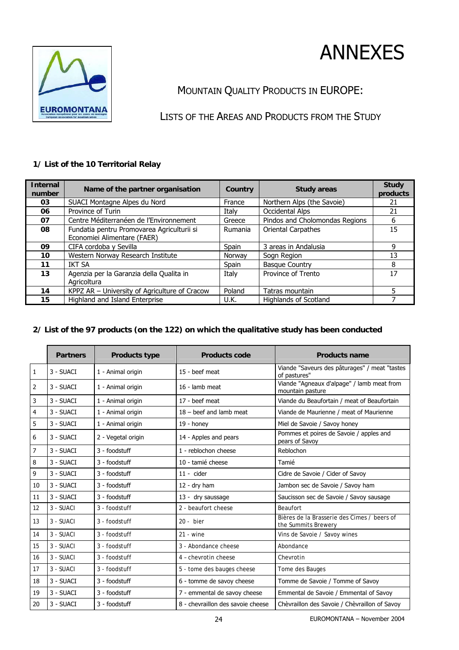



## MOUNTAIN QUALITY PRODUCTS IN EUROPE:

LISTS OF THE AREAS AND PRODUCTS FROM THE STUDY

#### **1/ List of the 10 Territorial Relay**

| <b>Internal</b><br>number | Name of the partner organisation              | <b>Country</b> | <b>Study areas</b>             | <b>Study</b><br>products |
|---------------------------|-----------------------------------------------|----------------|--------------------------------|--------------------------|
| 03                        | SUACI Montagne Alpes du Nord                  | France         | Northern Alps (the Savoie)     | 21                       |
| 06                        | Province of Turin                             | Italy          | Occidental Alps                | 21                       |
| 07                        | Centre Méditerranéen de l'Environnement       | Greece         | Pindos and Cholomondas Regions | 6                        |
| 08                        | Fundatia pentru Promovarea Agriculturii si    | Rumania        | <b>Oriental Carpathes</b>      | 15                       |
|                           | Economiei Alimentare (FAER)                   |                |                                |                          |
| 09                        | CIFA cordoba y Sevilla                        | Spain          | 3 areas in Andalusia           | 9                        |
| 10                        | Western Norway Research Institute             | Norway         | Sogn Region                    | 13                       |
| 11                        | <b>IKT SA</b>                                 | Spain          | <b>Basque Country</b>          | 8                        |
| 13                        | Agenzia per la Garanzia della Qualita in      | Italy          | Province of Trento             | 17                       |
|                           | Agricoltura                                   |                |                                |                          |
| 14                        | KPPZ AR - University of Agriculture of Cracow | Poland         | Tatras mountain                | 5                        |
| 15                        | Highland and Island Enterprise                | U.K.           | Highlands of Scotland          |                          |

#### **2/ List of the 97 products (on the 122) on which the qualitative study has been conducted**

|              | <b>Partners</b> | <b>Products type</b> | <b>Products code</b>              | <b>Products name</b>                                               |
|--------------|-----------------|----------------------|-----------------------------------|--------------------------------------------------------------------|
| $\mathbf{1}$ | 3 - SUACI       | 1 - Animal origin    | 15 - beef meat                    | Viande "Saveurs des pâturages" / meat "tastes<br>of pastures"      |
| 2            | 3 - SUACI       | 1 - Animal origin    | 16 - lamb meat                    | Viande "Agneaux d'alpage" / lamb meat from<br>mountain pasture     |
| 3            | 3 - SUACI       | 1 - Animal origin    | 17 - beef meat                    | Viande du Beaufortain / meat of Beaufortain                        |
| 4            | 3 - SUACI       | 1 - Animal origin    | $18 - \text{beef}$ and lamb meat  | Viande de Maurienne / meat of Maurienne                            |
| 5            | 3 - SUACI       | 1 - Animal origin    | $19 -$ honey                      | Miel de Savoie / Savoy honey                                       |
| 6            | 3 - SUACI       | 2 - Vegetal origin   | 14 - Apples and pears             | Pommes et poires de Savoie / apples and<br>pears of Savoy          |
| 7            | 3 - SUACI       | 3 - foodstuff        | 1 - reblochon cheese              | Reblochon                                                          |
| 8            | 3 - SUACI       | 3 - foodstuff        | 10 - tamié cheese                 | Tamié                                                              |
| 9            | 3 - SUACI       | 3 - foodstuff        | $11 -$ cider                      | Cidre de Savoie / Cider of Savoy                                   |
| 10           | 3 - SUACI       | 3 - foodstuff        | $12 - dry$ ham                    | Jambon sec de Savoie / Savoy ham                                   |
| 11           | 3 - SUACI       | 3 - foodstuff        | 13 - dry saussage                 | Saucisson sec de Savoie / Savoy sausage                            |
| 12           | 3 - SUACI       | 3 - foodstuff        | 2 - beaufort cheese               | Beaufort                                                           |
| 13           | 3 - SUACI       | 3 - foodstuff        | $20 - b$ ier                      | Bières de la Brasserie des Cimes / beers of<br>the Summits Brewery |
| 14           | 3 - SUACI       | 3 - foodstuff        | $21 -$ wine                       | Vins de Savoie / Savoy wines                                       |
| 15           | 3 - SUACI       | 3 - foodstuff        | 3 - Abondance cheese              | Abondance                                                          |
| 16           | 3 - SUACI       | 3 - foodstuff        | 4 - chevrotin cheese              | Chevrotin                                                          |
| 17           | 3 - SUACI       | 3 - foodstuff        | 5 - tome des bauges cheese        | Tome des Bauges                                                    |
| 18           | 3 - SUACI       | 3 - foodstuff        | 6 - tomme de savoy cheese         | Tomme de Savoie / Tomme of Savoy                                   |
| 19           | 3 - SUACI       | 3 - foodstuff        | 7 - emmental de savoy cheese      | Emmental de Savoie / Emmental of Savoy                             |
| 20           | 3 - SUACI       | 3 - foodstuff        | 8 - chevraillon des savoie cheese | Chèvraillon des Savoie / Chèvraillon of Savoy                      |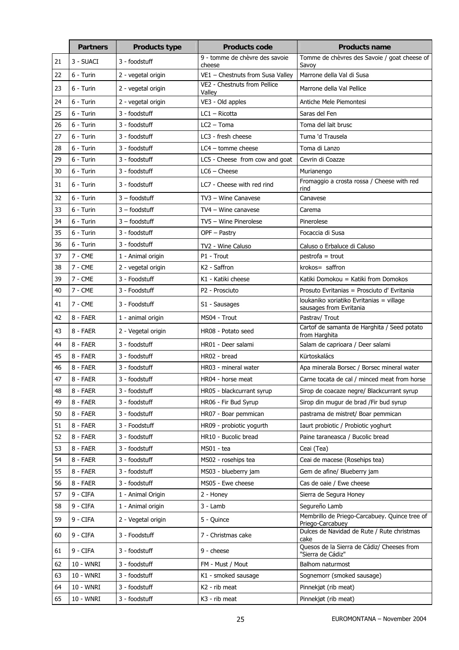|    | <b>Partners</b> | <b>Products type</b> | <b>Products code</b>                     | <b>Products name</b>                                                |
|----|-----------------|----------------------|------------------------------------------|---------------------------------------------------------------------|
| 21 | 3 - SUACI       | 3 - foodstuff        | 9 - tomme de chèvre des savoie<br>cheese | Tomme de chèvres des Savoie / goat cheese of<br>Savoy               |
| 22 | 6 - Turin       | 2 - vegetal origin   | VE1 - Chestnuts from Susa Valley         | Marrone della Val di Susa                                           |
| 23 | 6 - Turin       | 2 - vegetal origin   | VE2 - Chestnuts from Pellice<br>Valley   | Marrone della Val Pellice                                           |
| 24 | $6 - Turin$     | 2 - vegetal origin   | VE3 - Old apples                         | Antiche Mele Piemontesi                                             |
| 25 | 6 - Turin       | 3 - foodstuff        | $LC1 - Ricotta$                          | Saras del Fen                                                       |
| 26 | 6 - Turin       | 3 - foodstuff        | $LC2 - Toma$                             | Toma del lait brusc                                                 |
| 27 | $6 - Turin$     | 3 - foodstuff        | LC3 - fresh cheese                       | Tuma 'd Trausela                                                    |
| 28 | $6 - Turin$     | 3 - foodstuff        | $LC4$ – tomme cheese                     | Toma di Lanzo                                                       |
| 29 | 6 - Turin       | 3 - foodstuff        | LC5 - Cheese from cow and goat           | Cevrin di Coazze                                                    |
| 30 | 6 - Turin       | 3 - foodstuff        | $LC6 -$ Cheese                           | Murianengo                                                          |
| 31 | 6 - Turin       | 3 - foodstuff        | LC7 - Cheese with red rind               | Fromaggio a crosta rossa / Cheese with red<br>rind                  |
| 32 | 6 - Turin       | $3 -$ foodstuff      | TV3 - Wine Canavese                      | Canavese                                                            |
| 33 | 6 - Turin       | $3 -$ foodstuff      | TV4 - Wine canavese                      | Carema                                                              |
| 34 | 6 - Turin       | $3 -$ foodstuff      | TV5 - Wine Pinerolese                    | Pinerolese                                                          |
| 35 | 6 - Turin       | 3 - foodstuff        | OPF - Pastry                             | Focaccia di Susa                                                    |
| 36 | 6 - Turin       | 3 - foodstuff        | TV2 - Wine Caluso                        | Caluso o Erbaluce di Caluso                                         |
| 37 | $7 - CME$       | 1 - Animal origin    | P1 - Trout                               | $p$ estrofa = trout                                                 |
| 38 | $7 - CME$       | 2 - vegetal origin   | K <sub>2</sub> - Saffron                 | krokos= saffron                                                     |
| 39 | $7 - CME$       | 3 - Foodstuff        | K1 - Katiki cheese                       | Katiki Domokou = Katiki from Domokos                                |
| 40 | $7 - CME$       | 3 - Foodstuff        | P2 - Prosciuto                           | Prosuto Evritanias = Prosciuto d'Evritania                          |
| 41 | $7 - CME$       | 3 - Foodstuff        | S1 - Sausages                            | loukaniko xoriatiko Evritanias = village<br>sausages from Evritania |
| 42 | 8 - FAER        | 1 - animal origin    | MS04 - Trout                             | Pastrav/ Trout                                                      |
| 43 | 8 - FAER        | 2 - Vegetal origin   | HR08 - Potato seed                       | Cartof de samanta de Harghita / Seed potato<br>from Harghita        |
| 44 | 8 - FAER        | 3 - foodstuff        | HR01 - Deer salami                       | Salam de caprioara / Deer salami                                    |
| 45 | 8 - FAER        | 3 - foodstuff        | HR02 - bread                             | Kürtoskalács                                                        |
| 46 | 8 - FAER        | 3 - foodstuff        | HR03 - mineral water                     | Apa minerala Borsec / Borsec mineral water                          |
| 47 | 8 - FAER        | 3 - foodstuff        | HR04 - horse meat                        | Carne tocata de cal / minced meat from horse                        |
| 48 | 8 - FAER        | 3 - foodstuff        | HR05 - blackcurrant syrup                | Sirop de coacaze negre/ Blackcurrant syrup                          |
| 49 | 8 - FAER        | 3 - foodstuff        | HR06 - Fir Bud Syrup                     | Sirop din mugur de brad /Fir bud syrup                              |
| 50 | 8 - FAER        | 3 - foodstuff        | HR07 - Boar pemmican                     | pastrama de mistret/ Boar pemmican                                  |
| 51 | 8 - FAER        | 3 - Foodstuff        | HR09 - probiotic yogurth                 | Iaurt probiotic / Probiotic yoghurt                                 |
| 52 | 8 - FAER        | 3 - foodstuff        | HR10 - Bucolic bread                     | Paine taraneasca / Bucolic bread                                    |
| 53 | 8 - FAER        | 3 - foodstuff        | MS01 - tea                               | Ceai (Tea)                                                          |
| 54 | 8 - FAER        | 3 - foodstuff        | MS02 - rosehips tea                      | Ceai de macese (Rosehips tea)                                       |
| 55 | 8 - FAER        | 3 - foodstuff        | MS03 - blueberry jam                     | Gem de afine/ Blueberry jam                                         |
| 56 | 8 - FAER        | 3 - foodstuff        | MS05 - Ewe cheese                        | Cas de oaie / Ewe cheese                                            |
| 57 | 9 - CIFA        | 1 - Animal Origin    | 2 - Honey                                | Sierra de Segura Honey                                              |
| 58 | 9 - CIFA        | 1 - Animal origin    | $3 -$ Lamb                               | Segureño Lamb                                                       |
| 59 | 9 - CIFA        | 2 - Vegetal origin   | 5 - Quince                               | Membrillo de Priego-Carcabuey. Quince tree of<br>Priego-Carcabuey   |
| 60 | 9 - CIFA        | 3 - Foodstuff        | 7 - Christmas cake                       | Dulces de Navidad de Rute / Rute christmas<br>cake                  |
| 61 | 9 - CIFA        | 3 - foodstuff        | 9 - cheese                               | Quesos de la Sierra de Cádiz/ Cheeses from<br>"Sierra de Cádiz"     |
| 62 | 10 - WNRI       | 3 - foodstuff        | FM - Must / Mout                         | Balhom naturmost                                                    |
| 63 | 10 - WNRI       | 3 - foodstuff        | K1 - smoked sausage                      | Sognemorr (smoked sausage)                                          |
| 64 | 10 - WNRI       | 3 - foodstuff        | K2 - rib meat                            | Pinnekjøt (rib meat)                                                |
| 65 | 10 - WNRI       | 3 - foodstuff        | K3 - rib meat                            | Pinnekjøt (rib meat)                                                |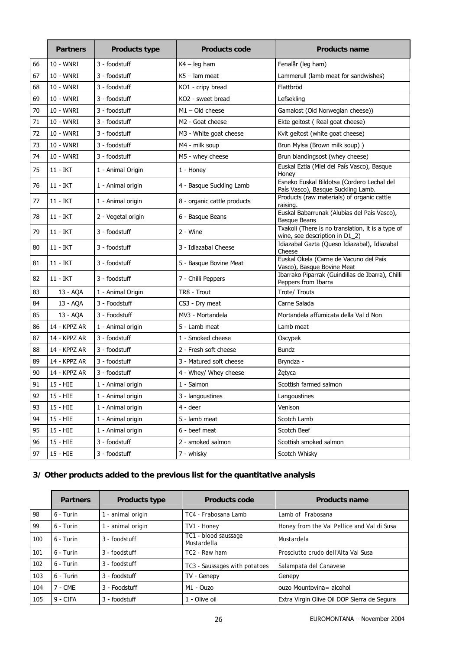|    | <b>Partners</b> | <b>Products type</b> | <b>Products code</b>        | <b>Products name</b>                                                                |
|----|-----------------|----------------------|-----------------------------|-------------------------------------------------------------------------------------|
| 66 | 10 - WNRI       | 3 - foodstuff        | $K4 - leg$ ham              | Fenalår (leg ham)                                                                   |
| 67 | 10 - WNRI       | 3 - foodstuff        | $K5 -$ lam meat             | Lammerull (lamb meat for sandwishes)                                                |
| 68 | 10 - WNRI       | 3 - foodstuff        | KO1 - cripy bread           | Flattbröd                                                                           |
| 69 | 10 - WNRI       | 3 - foodstuff        | KO2 - sweet bread           | Lefsekling                                                                          |
| 70 | 10 - WNRI       | 3 - foodstuff        | $M1 - Old$ cheese           | Gamalost (Old Norwegian cheese))                                                    |
| 71 | 10 - WNRI       | 3 - foodstuff        | M2 - Goat cheese            | Ekte geitost (Real goat cheese)                                                     |
| 72 | 10 - WNRI       | 3 - foodstuff        | M3 - White goat cheese      | Kvit geitost (white goat cheese)                                                    |
| 73 | 10 - WNRI       | 3 - foodstuff        | M4 - milk soup              | Brun Mylsa (Brown milk soup))                                                       |
| 74 | 10 - WNRI       | 3 - foodstuff        | M5 - whey cheese            | Brun blandingsost (whey cheese)                                                     |
| 75 | 11 - IKT        | 1 - Animal Origin    | 1 - Honey                   | Euskal Eztia (Miel del País Vasco), Basque<br>Honey                                 |
| 76 | 11 - IKT        | 1 - Animal origin    | 4 - Basque Suckling Lamb    | Esneko Euskal Bildotsa (Cordero Lechal del<br>País Vasco), Basque Suckling Lamb.    |
| 77 | 11 - IKT        | 1 - Animal origin    | 8 - organic cattle products | Products (raw materials) of organic cattle<br>raising.                              |
| 78 | 11 - IKT        | 2 - Vegetal origin   | 6 - Basque Beans            | Euskal Babarrunak (Alubias del País Vasco),<br>Basque Beans                         |
| 79 | 11 - IKT        | 3 - foodstuff        | 2 - Wine                    | Txakoli (There is no translation, it is a type of<br>wine, see description in D1_2) |
| 80 | 11 - IKT        | 3 - foodstuff        | 3 - Idiazabal Cheese        | Idiazabal Gazta (Queso Idiazabal), Idiazabal<br>Cheese                              |
| 81 | 11 - IKT        | 3 - foodstuff        | 5 - Basque Bovine Meat      | Euskal Okela (Carne de Vacuno del País<br>Vasco), Basque Bovine Meat                |
| 82 | 11 - IKT        | 3 - foodstuff        | 7 - Chilli Peppers          | Ibarrako Piparrak (Guindillas de Ibarra), Chilli<br>Peppers from Ibarra             |
| 83 | 13 - AQA        | 1 - Animal Origin    | TR8 - Trout                 | Trote/ Trouts                                                                       |
| 84 | 13 - AQA        | 3 - Foodstuff        | CS3 - Dry meat              | Carne Salada                                                                        |
| 85 | 13 - AQA        | 3 - Foodstuff        | MV3 - Mortandela            | Mortandela affumicata della Val d Non                                               |
| 86 | 14 - KPPZ AR    | 1 - Animal origin    | 5 - Lamb meat               | Lamb meat                                                                           |
| 87 | 14 - KPPZ AR    | 3 - foodstuff        | 1 - Smoked cheese           | Oscypek                                                                             |
| 88 | 14 - KPPZ AR    | 3 - foodstuff        | 2 - Fresh soft cheese       | <b>Bundz</b>                                                                        |
| 89 | 14 - KPPZ AR    | 3 - foodstuff        | 3 - Matured soft cheese     | Bryndza -                                                                           |
| 90 | 14 - KPPZ AR    | 3 - foodstuff        | 4 - Whey/ Whey cheese       | Žętyca                                                                              |
| 91 | 15 - HIE        | 1 - Animal origin    | 1 - Salmon                  | Scottish farmed salmon                                                              |
| 92 | 15 - HIE        | 1 - Animal origin    | 3 - langoustines            | Langoustines                                                                        |
| 93 | 15 - HIE        | 1 - Animal origin    | $4 -$ deer                  | Venison                                                                             |
| 94 | 15 - HIE        | 1 - Animal origin    | 5 - lamb meat               | Scotch Lamb                                                                         |
| 95 | 15 - HIE        | 1 - Animal origin    | 6 - beef meat               | Scotch Beef                                                                         |
| 96 | $15 - HIE$      | 3 - foodstuff        | 2 - smoked salmon           | Scottish smoked salmon                                                              |
| 97 | 15 - HIE        | 3 - foodstuff        | 7 - whisky                  | Scotch Whisky                                                                       |

## **3/ Other products added to the previous list for the quantitative analysis**

|     | <b>Partners</b> | <b>Products type</b> | <b>Products code</b>                | <b>Products name</b>                        |
|-----|-----------------|----------------------|-------------------------------------|---------------------------------------------|
| 98  | $6 - Turin$     | - animal origin      | TC4 - Frabosana Lamb                | Lamb of Frabosana                           |
| 99  | $6 - Turin$     | - animal origin      | TV1 - Honey                         | Honey from the Val Pellice and Val di Susa  |
| 100 | $6 -$ Turin     | 3 - foodstuff        | TC1 - blood saussage<br>Mustardella | Mustardela                                  |
| 101 | $6 - Turin$     | 3 - foodstuff        | TC2 - Raw ham                       | Prosciutto crudo dell'Alta Val Susa         |
| 102 | $6 - Turin$     | 3 - foodstuff        | TC3 - Saussages with potatoes       | Salampata del Canavese                      |
| 103 | $6 - Turin$     | 3 - foodstuff        | TV - Genepy                         | Genepy                                      |
| 104 | $7 - CME$       | 3 - Foodstuff        | M1 - Ouzo                           | ouzo Mountovina = alcohol                   |
| 105 | $9 - CIFA$      | 3 - foodstuff        | 1 - Olive oil                       | Extra Virgin Olive Oil DOP Sierra de Segura |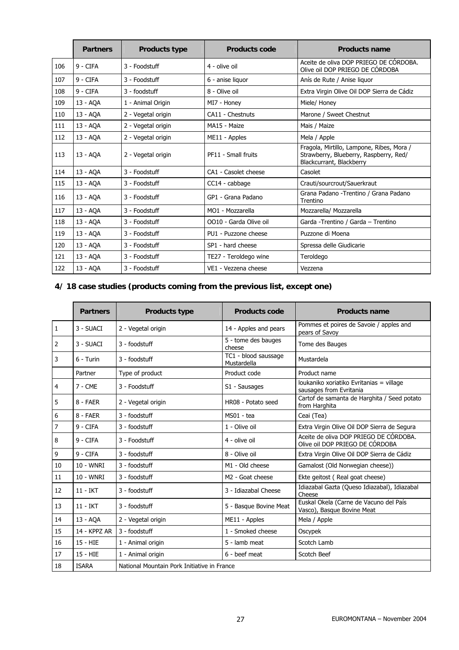|     | <b>Partners</b> | <b>Products type</b> | <b>Products code</b>   | <b>Products name</b>                                                                                            |
|-----|-----------------|----------------------|------------------------|-----------------------------------------------------------------------------------------------------------------|
| 106 | $9 - CIFA$      | $3 -$ Foodstuff      | 4 - olive oil          | Aceite de oliva DOP PRIEGO DE CÓRDOBA.<br>Olive oil DOP PRIEGO DE CÓRDOBA                                       |
| 107 | 9 - CIFA        | 3 - Foodstuff        | 6 - anise liquor       | Anís de Rute / Anise liquor                                                                                     |
| 108 | 9 - CIFA        | 3 - foodstuff        | 8 - Olive oil          | Extra Virgin Olive Oil DOP Sierra de Cádiz                                                                      |
| 109 | 13 - AQA        | 1 - Animal Origin    | MI7 - Honey            | Miele/ Honey                                                                                                    |
| 110 | 13 - AQA        | 2 - Vegetal origin   | CA11 - Chestnuts       | Marone / Sweet Chestnut                                                                                         |
| 111 | 13 - AQA        | 2 - Vegetal origin   | MA15 - Maize           | Mais / Maize                                                                                                    |
| 112 | 13 - AQA        | 2 - Vegetal origin   | ME11 - Apples          | Mela / Apple                                                                                                    |
| 113 | 13 - AOA        | 2 - Vegetal origin   | PF11 - Small fruits    | Fragola, Mirtillo, Lampone, Ribes, Mora /<br>Strawberry, Blueberry, Raspberry, Red/<br>Blackcurrant, Blackberry |
| 114 | 13 - AQA        | 3 - Foodstuff        | CA1 - Casolet cheese   | Casolet                                                                                                         |
| 115 | 13 - AQA        | 3 - Foodstuff        | CC14 - cabbage         | Crauti/sourcrout/Sauerkraut                                                                                     |
| 116 | 13 - AOA        | 3 - Foodstuff        | GP1 - Grana Padano     | Grana Padano - Trentino / Grana Padano<br>Trentino                                                              |
| 117 | 13 - AOA        | 3 - Foodstuff        | MO1 - Mozzarella       | Mozzarella/ Mozzarella                                                                                          |
| 118 | 13 - AQA        | 3 - Foodstuff        | OO10 - Garda Olive oil | Garda - Trentino / Garda - Trentino                                                                             |
| 119 | 13 - AQA        | 3 - Foodstuff        | PU1 - Puzzone cheese   | Puzzone di Moena                                                                                                |
| 120 | 13 - AOA        | 3 - Foodstuff        | SP1 - hard cheese      | Spressa delle Giudicarie                                                                                        |
| 121 | 13 - AQA        | 3 - Foodstuff        | TE27 - Teroldego wine  | Teroldego                                                                                                       |
| 122 | 13 - AQA        | 3 - Foodstuff        | VE1 - Vezzena cheese   | Vezzena                                                                                                         |

## **4/ 18 case studies (products coming from the previous list, except one)**

|                | <b>Partners</b> | <b>Products type</b>                        | <b>Products code</b>                | <b>Products name</b>                                                      |  |
|----------------|-----------------|---------------------------------------------|-------------------------------------|---------------------------------------------------------------------------|--|
| $\mathbf{1}$   | 3 - SUACI       | 2 - Vegetal origin                          | 14 - Apples and pears               | Pommes et poires de Savoie / apples and<br>pears of Savoy                 |  |
| 2              | 3 - SUACI       | 3 - foodstuff                               | 5 - tome des bauges<br>cheese       | Tome des Bauges                                                           |  |
| 3              | $6 - Turin$     | 3 - foodstuff                               | TC1 - blood saussage<br>Mustardella | Mustardela                                                                |  |
|                | Partner         | Type of product                             | Product code                        | Product name                                                              |  |
| 4              | $7 - CME$       | 3 - Foodstuff                               | S1 - Sausages                       | loukaniko xoriatiko Evritanias = village<br>sausages from Evritania       |  |
| 5              | $8 - FAFR$      | 2 - Vegetal origin                          | HR08 - Potato seed                  | Cartof de samanta de Harghita / Seed potato<br>from Harghita              |  |
| 6              | $8 - FAFR$      | 3 - foodstuff                               | MS01 - tea                          | Ceai (Tea)                                                                |  |
| $\overline{7}$ | 9 - CIFA        | 3 - foodstuff                               | 1 - Olive oil                       | Extra Virgin Olive Oil DOP Sierra de Segura                               |  |
| 8              | 9 - CIFA        | 3 - Foodstuff                               | 4 - olive oil                       | Aceite de oliva DOP PRIEGO DE CÓRDOBA.<br>Olive oil DOP PRIEGO DE CÓRDOBA |  |
| 9              | $9 - CIFA$      | 3 - foodstuff                               | 8 - Olive oil                       | Extra Virgin Olive Oil DOP Sierra de Cádiz                                |  |
| 10             | $10 - WNRI$     | 3 - foodstuff                               | M1 - Old cheese                     | Gamalost (Old Norwegian cheese))                                          |  |
| 11             | 10 - WNRI       | 3 - foodstuff                               | M <sub>2</sub> - Goat cheese        | Ekte geitost (Real goat cheese)                                           |  |
| 12             | $11 - IKT$      | 3 - foodstuff                               | 3 - Idiazabal Cheese                | Idiazabal Gazta (Queso Idiazabal), Idiazabal<br>Cheese                    |  |
| 13             | $11 - IKT$      | 3 - foodstuff                               | 5 - Basque Bovine Meat              | Euskal Okela (Carne de Vacuno del País<br>Vasco), Basque Bovine Meat      |  |
| 14             | 13 - AQA        | 2 - Vegetal origin                          | ME11 - Apples                       | Mela / Apple                                                              |  |
| 15             | 14 - KPPZ AR    | 3 - foodstuff                               | 1 - Smoked cheese                   | Oscypek                                                                   |  |
| 16             | $15 - HIE$      | 1 - Animal origin                           | 5 - lamb meat                       | Scotch Lamb                                                               |  |
| 17             | 15 - HIE        | 1 - Animal origin                           | 6 - beef meat                       | Scotch Beef                                                               |  |
| 18             | <b>ISARA</b>    | National Mountain Pork Initiative in France |                                     |                                                                           |  |